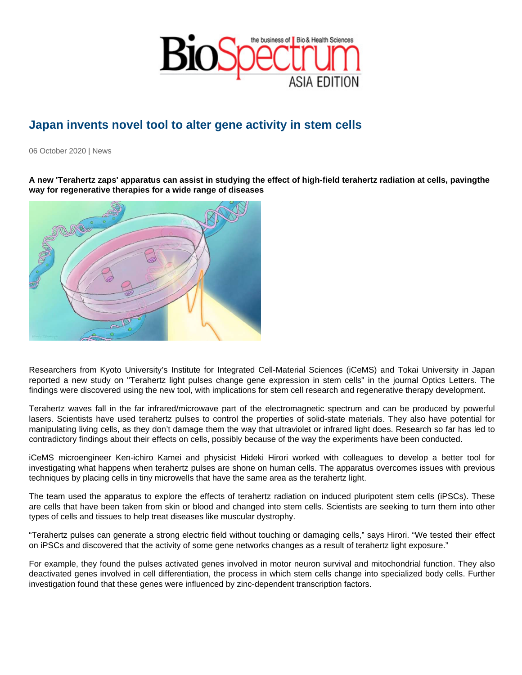## Japan invents novel tool to alter gene activity in stem cells

06 October 2020 | News

A new 'Terahertz zaps' apparatus can assist in studying the effect of high-field terahertz radiation at cells, paving the way for regenerative therapies for a wide range of diseases

Researchers from Kyoto University's Institute for Integrated Cell-Material Sciences (iCeMS) and Tokai University in Japan reported a new study on "Terahertz light pulses change gene expression in stem cells" in the journal Optics Letters. The findings were discovered using the new tool, with implications for stem cell research and regenerative therapy development.

Terahertz waves fall in the far infrared/microwave part of the electromagnetic spectrum and can be produced by powerful lasers. Scientists have used terahertz pulses to control the properties of solid-state materials. They also have potential for manipulating living cells, as they don't damage them the way that ultraviolet or infrared light does. Research so far has led to contradictory findings about their effects on cells, possibly because of the way the experiments have been conducted.

iCeMS microengineer Ken-ichiro Kamei and physicist Hideki Hirori worked with colleagues to develop a better tool for investigating what happens when terahertz pulses are shone on human cells. The apparatus overcomes issues with previous techniques by placing cells in tiny microwells that have the same area as the terahertz light.

The team used the apparatus to explore the effects of terahertz radiation on induced pluripotent stem cells (iPSCs). These are cells that have been taken from skin or blood and changed into stem cells. Scientists are seeking to turn them into other types of cells and tissues to help treat diseases like muscular dystrophy.

"Terahertz pulses can generate a strong electric field without touching or damaging cells," says Hirori. "We tested their effect on iPSCs and discovered that the activity of some gene networks changes as a result of terahertz light exposure."

For example, they found the pulses activated genes involved in motor neuron survival and mitochondrial function. They also deactivated genes involved in cell differentiation, the process in which stem cells change into specialized body cells. Further investigation found that these genes were influenced by zinc-dependent transcription factors.